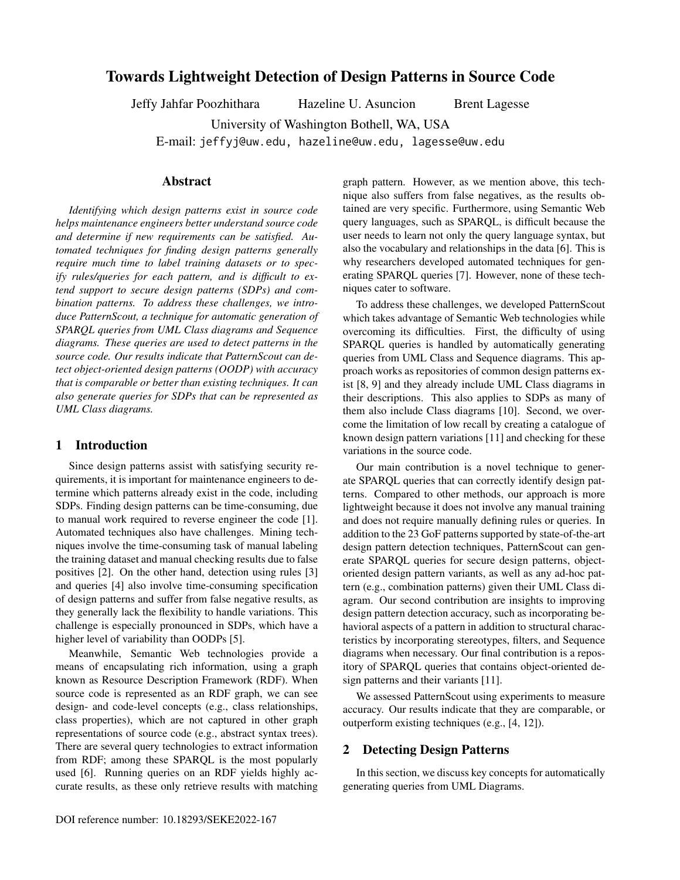# Towards Lightweight Detection of Design Patterns in Source Code

Jeffy Jahfar Poozhithara Hazeline U. Asuncion Brent Lagesse

University of Washington Bothell, WA, USA

E-mail: jeffyj@uw.edu, hazeline@uw.edu, lagesse@uw.edu

# Abstract

*Identifying which design patterns exist in source code helps maintenance engineers better understand source code and determine if new requirements can be satisfied. Automated techniques for finding design patterns generally require much time to label training datasets or to specify rules/queries for each pattern, and is difficult to extend support to secure design patterns (SDPs) and combination patterns. To address these challenges, we introduce PatternScout, a technique for automatic generation of SPARQL queries from UML Class diagrams and Sequence diagrams. These queries are used to detect patterns in the source code. Our results indicate that PatternScout can detect object-oriented design patterns (OODP) with accuracy that is comparable or better than existing techniques. It can also generate queries for SDPs that can be represented as UML Class diagrams.*

# 1 Introduction

Since design patterns assist with satisfying security requirements, it is important for maintenance engineers to determine which patterns already exist in the code, including SDPs. Finding design patterns can be time-consuming, due to manual work required to reverse engineer the code [1]. Automated techniques also have challenges. Mining techniques involve the time-consuming task of manual labeling the training dataset and manual checking results due to false positives [2]. On the other hand, detection using rules [3] and queries [4] also involve time-consuming specification of design patterns and suffer from false negative results, as they generally lack the flexibility to handle variations. This challenge is especially pronounced in SDPs, which have a higher level of variability than OODPs [5].

Meanwhile, Semantic Web technologies provide a means of encapsulating rich information, using a graph known as Resource Description Framework (RDF). When source code is represented as an RDF graph, we can see design- and code-level concepts (e.g., class relationships, class properties), which are not captured in other graph representations of source code (e.g., abstract syntax trees). There are several query technologies to extract information from RDF; among these SPARQL is the most popularly used [6]. Running queries on an RDF yields highly accurate results, as these only retrieve results with matching graph pattern. However, as we mention above, this technique also suffers from false negatives, as the results obtained are very specific. Furthermore, using Semantic Web query languages, such as SPARQL, is difficult because the user needs to learn not only the query language syntax, but also the vocabulary and relationships in the data [6]. This is why researchers developed automated techniques for generating SPARQL queries [7]. However, none of these techniques cater to software.

To address these challenges, we developed PatternScout which takes advantage of Semantic Web technologies while overcoming its difficulties. First, the difficulty of using SPARQL queries is handled by automatically generating queries from UML Class and Sequence diagrams. This approach works as repositories of common design patterns exist [8, 9] and they already include UML Class diagrams in their descriptions. This also applies to SDPs as many of them also include Class diagrams [10]. Second, we overcome the limitation of low recall by creating a catalogue of known design pattern variations [11] and checking for these variations in the source code.

Our main contribution is a novel technique to generate SPARQL queries that can correctly identify design patterns. Compared to other methods, our approach is more lightweight because it does not involve any manual training and does not require manually defining rules or queries. In addition to the 23 GoF patterns supported by state-of-the-art design pattern detection techniques, PatternScout can generate SPARQL queries for secure design patterns, objectoriented design pattern variants, as well as any ad-hoc pattern (e.g., combination patterns) given their UML Class diagram. Our second contribution are insights to improving design pattern detection accuracy, such as incorporating behavioral aspects of a pattern in addition to structural characteristics by incorporating stereotypes, filters, and Sequence diagrams when necessary. Our final contribution is a repository of SPARQL queries that contains object-oriented design patterns and their variants [11].

We assessed PatternScout using experiments to measure accuracy. Our results indicate that they are comparable, or outperform existing techniques (e.g., [4, 12]).

# 2 Detecting Design Patterns

In this section, we discuss key concepts for automatically generating queries from UML Diagrams.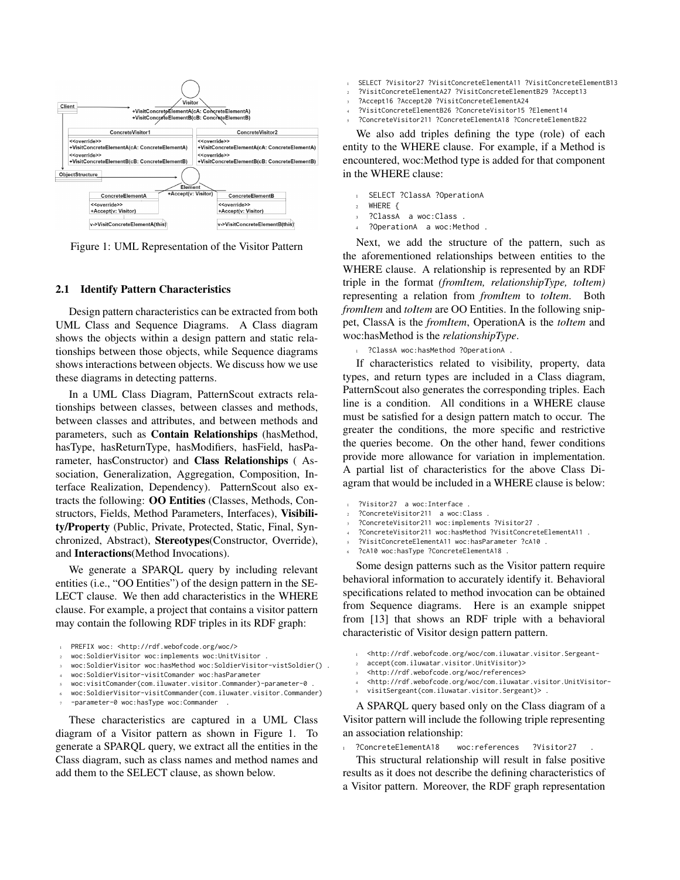

Figure 1: UML Representation of the Visitor Pattern

#### 2.1 Identify Pattern Characteristics

Design pattern characteristics can be extracted from both UML Class and Sequence Diagrams. A Class diagram shows the objects within a design pattern and static relationships between those objects, while Sequence diagrams shows interactions between objects. We discuss how we use these diagrams in detecting patterns.

In a UML Class Diagram, PatternScout extracts relationships between classes, between classes and methods, between classes and attributes, and between methods and parameters, such as Contain Relationships (hasMethod, hasType, hasReturnType, hasModifiers, hasField, hasParameter, hasConstructor) and Class Relationships ( Association, Generalization, Aggregation, Composition, Interface Realization, Dependency). PatternScout also extracts the following: OO Entities (Classes, Methods, Constructors, Fields, Method Parameters, Interfaces), Visibility/Property (Public, Private, Protected, Static, Final, Synchronized, Abstract), Stereotypes(Constructor, Override), and Interactions(Method Invocations).

We generate a SPARQL query by including relevant entities (i.e., "OO Entities") of the design pattern in the SE-LECT clause. We then add characteristics in the WHERE clause. For example, a project that contains a visitor pattern may contain the following RDF triples in its RDF graph:

- PREFIX woc: <http://rdf.webofcode.org/woc/>
- <sup>2</sup> woc:SoldierVisitor woc:implements woc:UnitVisitor .
- woc:SoldierVisitor woc:hasMethod woc:SoldierVisitor-vistSoldier()
- <sup>4</sup> woc:SoldierVisitor-visitComander woc:hasParameter
- <sup>5</sup> woc:visitComander(com.iluwater.visitor.Commander)-parameter-0 .
- <sup>6</sup> woc:SoldierVisitor-visitCommander(com.iluwater.visitor.Commander)
- -parameter-0 woc:hasType woc:Commander

These characteristics are captured in a UML Class diagram of a Visitor pattern as shown in Figure 1. To generate a SPARQL query, we extract all the entities in the Class diagram, such as class names and method names and add them to the SELECT clause, as shown below.

- <sup>1</sup> SELECT ?Visitor27 ?VisitConcreteElementA11 ?VisitConcreteElementB13
- <sup>2</sup> ?VisitConcreteElementA27 ?VisitConcreteElementB29 ?Accept13
- <sup>3</sup> ?Accept16 ?Accept20 ?VisitConcreteElementA24
- <sup>4</sup> ?VisitConcreteElementB26 ?ConcreteVisitor15 ?Element14 <sup>5</sup> ?ConcreteVisitor211 ?ConcreteElementA18 ?ConcreteElementB22

We also add triples defining the type (role) of each entity to the WHERE clause. For example, if a Method is encountered, woc:Method type is added for that component in the WHERE clause:

- 1 SELECT ?ClassA ?OperationA
- <sup>2</sup> WHERE {
- <sup>3</sup> ?ClassA a woc:Class .
- <sup>4</sup> ?OperationA a woc:Method .

Next, we add the structure of the pattern, such as the aforementioned relationships between entities to the WHERE clause. A relationship is represented by an RDF triple in the format *(fromItem, relationshipType, toItem)* representing a relation from *fromItem* to *toItem*. Both *fromItem* and *toItem* are OO Entities. In the following snippet, ClassA is the *fromItem*, OperationA is the *toItem* and woc:hasMethod is the *relationshipType*.

<sup>1</sup> ?ClassA woc:hasMethod ?OperationA .

If characteristics related to visibility, property, data types, and return types are included in a Class diagram, PatternScout also generates the corresponding triples. Each line is a condition. All conditions in a WHERE clause must be satisfied for a design pattern match to occur. The greater the conditions, the more specific and restrictive the queries become. On the other hand, fewer conditions provide more allowance for variation in implementation. A partial list of characteristics for the above Class Diagram that would be included in a WHERE clause is below:

- ?Visitor27 a woc:Interface
- <sup>2</sup> ?ConcreteVisitor211 a woc:Class .
- <sup>3</sup> ?ConcreteVisitor211 woc:implements ?Visitor27 .
- <sup>4</sup> ?ConcreteVisitor211 woc:hasMethod ?VisitConcreteElementA11 .
- <sup>5</sup> ?VisitConcreteElementA11 woc:hasParameter ?cA10 .
- ?cA10 woc:hasType ?ConcreteElementA18

Some design patterns such as the Visitor pattern require behavioral information to accurately identify it. Behavioral specifications related to method invocation can be obtained from Sequence diagrams. Here is an example snippet from [13] that shows an RDF triple with a behavioral characteristic of Visitor design pattern pattern.

- <sup>1</sup> <http://rdf.webofcode.org/woc/com.iluwatar.visitor.Sergeant-
- accept(com.iluwatar.visitor.UnitVisitor)>
- <sup>3</sup> <http://rdf.webofcode.org/woc/references>
- <sup>4</sup> <http://rdf.webofcode.org/woc/com.iluwatar.visitor.UnitVisitorvisitSergeant(com.iluwatar.visitor.Sergeant)>
- 

A SPARQL query based only on the Class diagram of a Visitor pattern will include the following triple representing an association relationship:

<sup>1</sup> ?ConcreteElementA18 woc:references ?Visitor27 .

This structural relationship will result in false positive results as it does not describe the defining characteristics of a Visitor pattern. Moreover, the RDF graph representation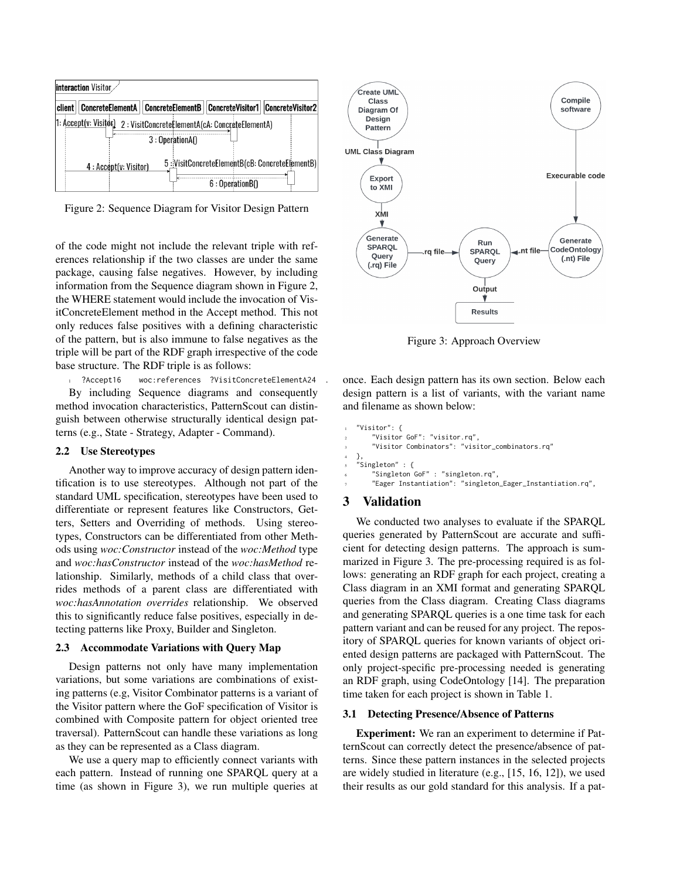

Figure 2: Sequence Diagram for Visitor Design Pattern

of the code might not include the relevant triple with references relationship if the two classes are under the same package, causing false negatives. However, by including information from the Sequence diagram shown in Figure 2, the WHERE statement would include the invocation of VisitConcreteElement method in the Accept method. This not only reduces false positives with a defining characteristic of the pattern, but is also immune to false negatives as the triple will be part of the RDF graph irrespective of the code base structure. The RDF triple is as follows:

<sup>1</sup> ?Accept16 woc:references ?VisitConcreteElementA24 . By including Sequence diagrams and consequently method invocation characteristics, PatternScout can distinguish between otherwise structurally identical design patterns (e.g., State - Strategy, Adapter - Command).

#### 2.2 Use Stereotypes

Another way to improve accuracy of design pattern identification is to use stereotypes. Although not part of the standard UML specification, stereotypes have been used to differentiate or represent features like Constructors, Getters, Setters and Overriding of methods. Using stereotypes, Constructors can be differentiated from other Methods using *woc:Constructor* instead of the *woc:Method* type and *woc:hasConstructor* instead of the *woc:hasMethod* relationship. Similarly, methods of a child class that overrides methods of a parent class are differentiated with *woc:hasAnnotation overrides* relationship. We observed this to significantly reduce false positives, especially in detecting patterns like Proxy, Builder and Singleton.

#### 2.3 Accommodate Variations with Query Map

Design patterns not only have many implementation variations, but some variations are combinations of existing patterns (e.g, Visitor Combinator patterns is a variant of the Visitor pattern where the GoF specification of Visitor is combined with Composite pattern for object oriented tree traversal). PatternScout can handle these variations as long as they can be represented as a Class diagram.

We use a query map to efficiently connect variants with each pattern. Instead of running one SPARQL query at a time (as shown in Figure 3), we run multiple queries at



Figure 3: Approach Overview

once. Each design pattern has its own section. Below each design pattern is a list of variants, with the variant name and filename as shown below:

```
"Visitor": {
    "Visitor GoF": "visitor.rq",
    3 "Visitor Combinators": "visitor_combinators.rq"
4 },
"Singleton" : {
     .<br>"Singleton GoF" : "singleton.rq",
```

```
7 "Eager Instantiation": "singleton_Eager_Instantiation.rq",
```
# 3 Validation

We conducted two analyses to evaluate if the SPARQL queries generated by PatternScout are accurate and sufficient for detecting design patterns. The approach is summarized in Figure 3. The pre-processing required is as follows: generating an RDF graph for each project, creating a Class diagram in an XMI format and generating SPARQL queries from the Class diagram. Creating Class diagrams and generating SPARQL queries is a one time task for each pattern variant and can be reused for any project. The repository of SPARQL queries for known variants of object oriented design patterns are packaged with PatternScout. The only project-specific pre-processing needed is generating an RDF graph, using CodeOntology [14]. The preparation time taken for each project is shown in Table 1.

### 3.1 Detecting Presence/Absence of Patterns

Experiment: We ran an experiment to determine if PatternScout can correctly detect the presence/absence of patterns. Since these pattern instances in the selected projects are widely studied in literature (e.g., [15, 16, 12]), we used their results as our gold standard for this analysis. If a pat-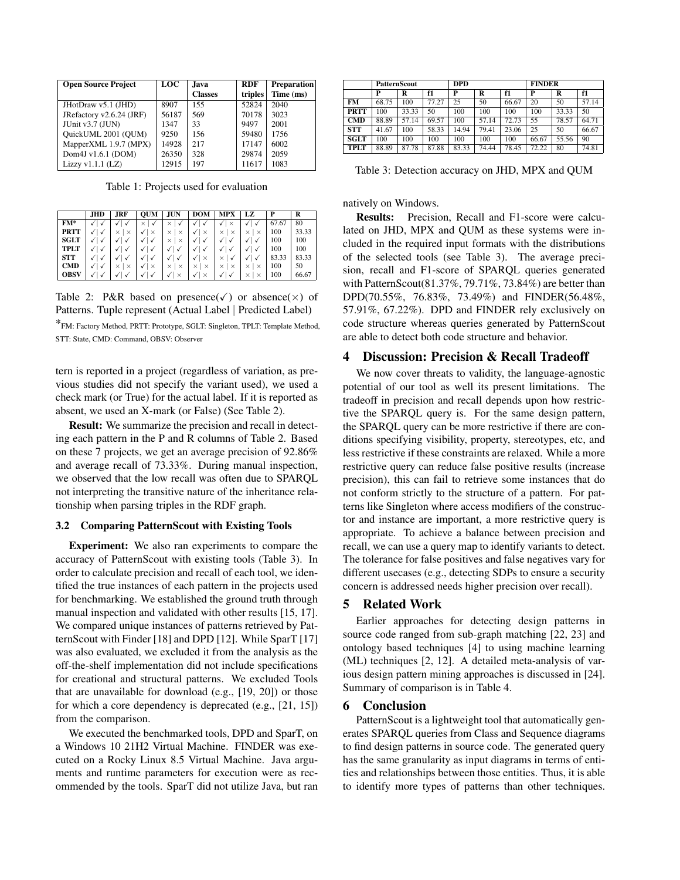| <b>Open Source Project</b> | <b>LOC</b> | Java           | <b>RDF</b> | <b>Preparation</b> |  |
|----------------------------|------------|----------------|------------|--------------------|--|
|                            |            | <b>Classes</b> | triples    | Time (ms)          |  |
| JHotDraw v5.1 (JHD)        | 8907       | 155            | 52824      | 2040               |  |
| JRefactory v2.6.24 (JRF)   | 56187      | 569            | 70178      | 3023               |  |
| JUnit v3.7 (JUN)           | 1347       | 33             | 9497       | 2001               |  |
| QuickUML 2001 (QUM)        | 9250       | 156            | 59480      | 1756               |  |
| MapperXML 1.9.7 (MPX)      | 14928      | 217            | 17147      | 6002               |  |
| Dom4J v1.6.1 (DOM)         | 26350      | 328            | 29874      | 2059               |  |
| Lizzy $v1.1.1$ (LZ)        | 12915      | 197            | 11617      | 1083               |  |

Table 1: Projects used for evaluation

|             | <b>JHD</b> | JRF | OUM | JUN           | DOM      | <b>MPX</b> | LZ                   | D     | R     |
|-------------|------------|-----|-----|---------------|----------|------------|----------------------|-------|-------|
| $FM*$       |            |     |     |               |          | $\times$   |                      | 67.67 | 80    |
| <b>PRTT</b> |            |     |     |               |          |            | ×                    | 100   | 33.33 |
| <b>SGLT</b> |            |     |     | $\times$      |          |            |                      | 100   | 100   |
| <b>TPLT</b> |            |     |     |               |          |            |                      | 100   | 100   |
| <b>STT</b>  |            |     |     |               |          |            |                      | 83.33 | 83.33 |
| <b>CMD</b>  |            |     |     | ×<br>$\times$ | $\times$ |            | $\times$             | 100   | 50    |
| <b>OBSV</b> |            |     |     |               |          |            | $\times$<br>$\times$ | 100   | 66.67 |

Table 2: P&R based on presence( $\checkmark$ ) or absence( $\times$ ) of Patterns. Tuple represent (Actual Label | Predicted Label) \*FM: Factory Method, PRTT: Prototype, SGLT: Singleton, TPLT: Template Method,

STT: State, CMD: Command, OBSV: Observer

tern is reported in a project (regardless of variation, as previous studies did not specify the variant used), we used a check mark (or True) for the actual label. If it is reported as absent, we used an X-mark (or False) (See Table 2).

Result: We summarize the precision and recall in detecting each pattern in the P and R columns of Table 2. Based on these 7 projects, we get an average precision of 92.86% and average recall of 73.33%. During manual inspection, we observed that the low recall was often due to SPARQL not interpreting the transitive nature of the inheritance relationship when parsing triples in the RDF graph.

#### 3.2 Comparing PatternScout with Existing Tools

Experiment: We also ran experiments to compare the accuracy of PatternScout with existing tools (Table 3). In order to calculate precision and recall of each tool, we identified the true instances of each pattern in the projects used for benchmarking. We established the ground truth through manual inspection and validated with other results [15, 17]. We compared unique instances of patterns retrieved by PatternScout with Finder [18] and DPD [12]. While SparT [17] was also evaluated, we excluded it from the analysis as the off-the-shelf implementation did not include specifications for creational and structural patterns. We excluded Tools that are unavailable for download (e.g., [19, 20]) or those for which a core dependency is deprecated (e.g., [21, 15]) from the comparison.

We executed the benchmarked tools, DPD and SparT, on a Windows 10 21H2 Virtual Machine. FINDER was executed on a Rocky Linux 8.5 Virtual Machine. Java arguments and runtime parameters for execution were as recommended by the tools. SparT did not utilize Java, but ran

|             | <b>PatternScout</b> |       |       | <b>DPD</b> |       |       | <b>FINDER</b> |       |       |
|-------------|---------------------|-------|-------|------------|-------|-------|---------------|-------|-------|
|             | P                   | R     | f1    | P          | R     | f1    | P             | R     | f1    |
| FМ          | 68.75               | 100   | 77.27 | 25         | 50    | 66.67 | 20            | 50    | 57.14 |
| <b>PRTT</b> | 100                 | 33.33 | 50    | 100        | 100   | 100   | 100           | 33.33 | 50    |
| <b>CMD</b>  | 88.89               | 57.14 | 69.57 | 100        | 57.14 | 72.73 | 55            | 78.57 | 64.71 |
| <b>STT</b>  | 41.67               | 100   | 58.33 | 14.94      | 79.41 | 23.06 | 25            | 50    | 66.67 |
| <b>SGLT</b> | 100                 | 100   | 100   | 100        | 100   | 100   | 66.67         | 55.56 | 90    |
| <b>TPLT</b> | 88.89               | 87.78 | 87.88 | 83.33      | 74.44 | 78.45 | 72.22         | 80    | 74.81 |

Table 3: Detection accuracy on JHD, MPX and QUM

natively on Windows.

Results: Precision, Recall and F1-score were calculated on JHD, MPX and QUM as these systems were included in the required input formats with the distributions of the selected tools (see Table 3). The average precision, recall and F1-score of SPARQL queries generated with PatternScout(81.37%, 79.71%, 73.84%) are better than DPD(70.55%, 76.83%, 73.49%) and FINDER(56.48%, 57.91%, 67.22%). DPD and FINDER rely exclusively on code structure whereas queries generated by PatternScout are able to detect both code structure and behavior.

### 4 Discussion: Precision & Recall Tradeoff

We now cover threats to validity, the language-agnostic potential of our tool as well its present limitations. The tradeoff in precision and recall depends upon how restrictive the SPARQL query is. For the same design pattern, the SPARQL query can be more restrictive if there are conditions specifying visibility, property, stereotypes, etc, and less restrictive if these constraints are relaxed. While a more restrictive query can reduce false positive results (increase precision), this can fail to retrieve some instances that do not conform strictly to the structure of a pattern. For patterns like Singleton where access modifiers of the constructor and instance are important, a more restrictive query is appropriate. To achieve a balance between precision and recall, we can use a query map to identify variants to detect. The tolerance for false positives and false negatives vary for different usecases (e.g., detecting SDPs to ensure a security concern is addressed needs higher precision over recall).

# 5 Related Work

Earlier approaches for detecting design patterns in source code ranged from sub-graph matching [22, 23] and ontology based techniques [4] to using machine learning (ML) techniques [2, 12]. A detailed meta-analysis of various design pattern mining approaches is discussed in [24]. Summary of comparison is in Table 4.

#### 6 Conclusion

PatternScout is a lightweight tool that automatically generates SPARQL queries from Class and Sequence diagrams to find design patterns in source code. The generated query has the same granularity as input diagrams in terms of entities and relationships between those entities. Thus, it is able to identify more types of patterns than other techniques.